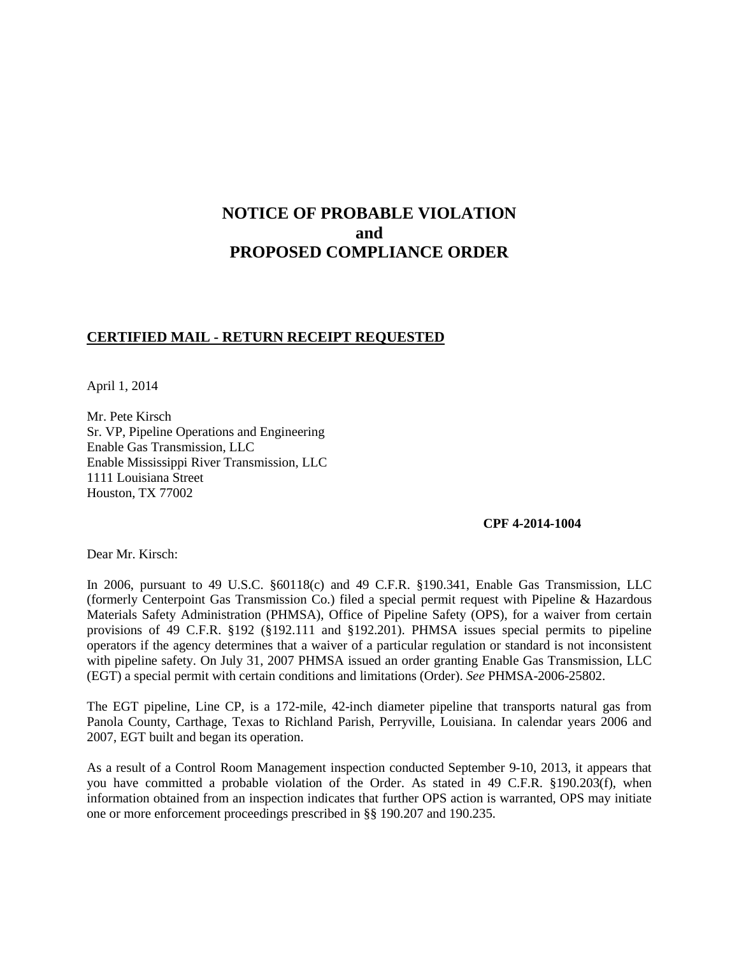# **NOTICE OF PROBABLE VIOLATION and PROPOSED COMPLIANCE ORDER**

## **CERTIFIED MAIL - RETURN RECEIPT REQUESTED**

April 1, 2014

Mr. Pete Kirsch Sr. VP, Pipeline Operations and Engineering Enable Gas Transmission, LLC Enable Mississippi River Transmission, LLC 1111 Louisiana Street Houston, TX 77002

### **CPF 4-2014-1004**

Dear Mr. Kirsch:

In 2006, pursuant to 49 U.S.C. §60118(c) and 49 C.F.R. §190.341, Enable Gas Transmission, LLC (formerly Centerpoint Gas Transmission Co.) filed a special permit request with Pipeline & Hazardous Materials Safety Administration (PHMSA), Office of Pipeline Safety (OPS), for a waiver from certain provisions of 49 C.F.R. §192 (§192.111 and §192.201). PHMSA issues special permits to pipeline operators if the agency determines that a waiver of a particular regulation or standard is not inconsistent with pipeline safety. On July 31, 2007 PHMSA issued an order granting Enable Gas Transmission, LLC (EGT) a special permit with certain conditions and limitations (Order). *See* PHMSA-2006-25802.

The EGT pipeline, Line CP, is a 172-mile, 42-inch diameter pipeline that transports natural gas from Panola County, Carthage, Texas to Richland Parish, Perryville, Louisiana. In calendar years 2006 and 2007, EGT built and began its operation.

As a result of a Control Room Management inspection conducted September 9-10, 2013, it appears that you have committed a probable violation of the Order. As stated in 49 C.F.R. §190.203(f), when information obtained from an inspection indicates that further OPS action is warranted, OPS may initiate one or more enforcement proceedings prescribed in §§ 190.207 and 190.235.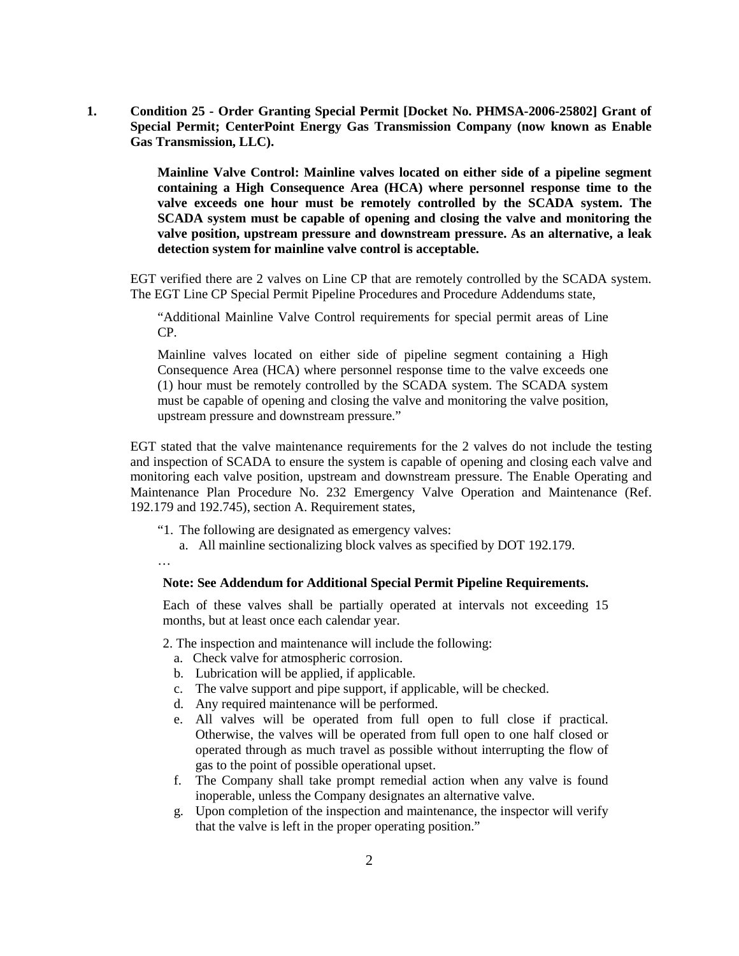**1. Condition 25 - Order Granting Special Permit [Docket No. PHMSA-2006-25802] Grant of Special Permit; CenterPoint Energy Gas Transmission Company (now known as Enable Gas Transmission, LLC).** 

> **Mainline Valve Control: Mainline valves located on either side of a pipeline segment containing a High Consequence Area (HCA) where personnel response time to the valve exceeds one hour must be remotely controlled by the SCADA system. The SCADA system must be capable of opening and closing the valve and monitoring the valve position, upstream pressure and downstream pressure. As an alternative, a leak detection system for mainline valve control is acceptable.**

EGT verified there are 2 valves on Line CP that are remotely controlled by the SCADA system. The EGT Line CP Special Permit Pipeline Procedures and Procedure Addendums state,

"Additional Mainline Valve Control requirements for special permit areas of Line CP.

Mainline valves located on either side of pipeline segment containing a High Consequence Area (HCA) where personnel response time to the valve exceeds one (1) hour must be remotely controlled by the SCADA system. The SCADA system must be capable of opening and closing the valve and monitoring the valve position, upstream pressure and downstream pressure."

EGT stated that the valve maintenance requirements for the 2 valves do not include the testing and inspection of SCADA to ensure the system is capable of opening and closing each valve and monitoring each valve position, upstream and downstream pressure. The Enable Operating and Maintenance Plan Procedure No. 232 Emergency Valve Operation and Maintenance (Ref. 192.179 and 192.745), section A. Requirement states,

- "1. The following are designated as emergency valves:
	- a. All mainline sectionalizing block valves as specified by DOT 192.179.

…

#### **Note: See Addendum for Additional Special Permit Pipeline Requirements.**

Each of these valves shall be partially operated at intervals not exceeding 15 months, but at least once each calendar year.

2. The inspection and maintenance will include the following:

- a. Check valve for atmospheric corrosion.
- b. Lubrication will be applied, if applicable.
- c. The valve support and pipe support, if applicable, will be checked.
- d. Any required maintenance will be performed.
- e. All valves will be operated from full open to full close if practical. Otherwise, the valves will be operated from full open to one half closed or operated through as much travel as possible without interrupting the flow of gas to the point of possible operational upset.
- f. The Company shall take prompt remedial action when any valve is found inoperable, unless the Company designates an alternative valve.
- g. Upon completion of the inspection and maintenance, the inspector will verify that the valve is left in the proper operating position."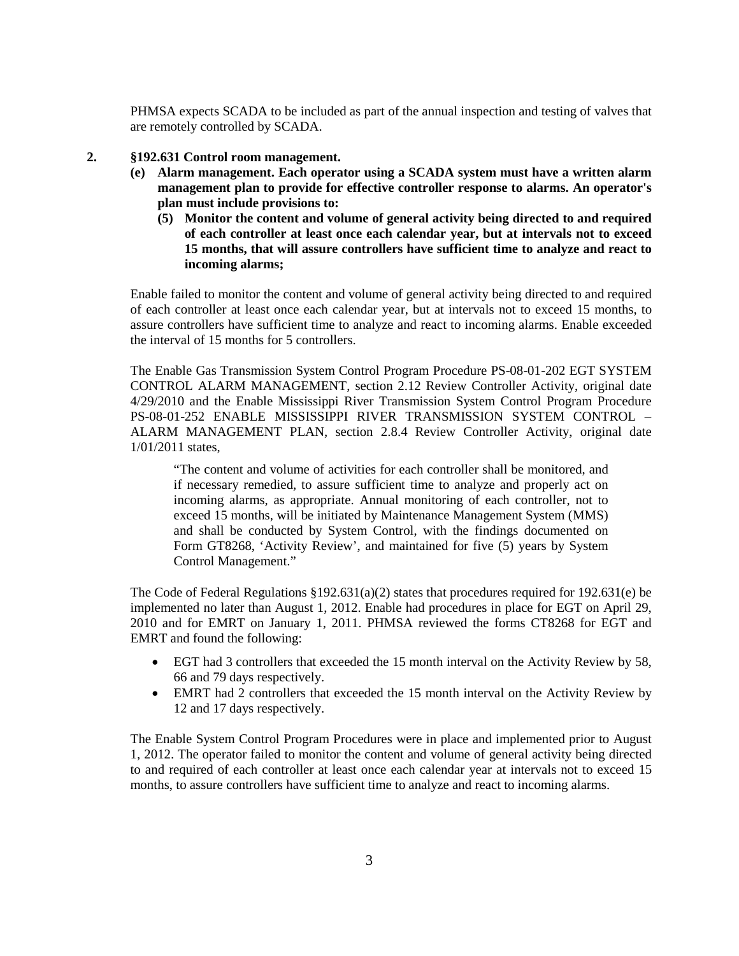PHMSA expects SCADA to be included as part of the annual inspection and testing of valves that are remotely controlled by SCADA.

#### **2. §192.631 Control room management.**

- **(e) Alarm management. Each operator using a SCADA system must have a written alarm management plan to provide for effective controller response to alarms. An operator's plan must include provisions to:**
	- **(5) Monitor the content and volume of general activity being directed to and required of each controller at least once each calendar year, but at intervals not to exceed 15 months, that will assure controllers have sufficient time to analyze and react to incoming alarms;**

Enable failed to monitor the content and volume of general activity being directed to and required of each controller at least once each calendar year, but at intervals not to exceed 15 months, to assure controllers have sufficient time to analyze and react to incoming alarms. Enable exceeded the interval of 15 months for 5 controllers.

The Enable Gas Transmission System Control Program Procedure PS-08-01-202 EGT SYSTEM CONTROL ALARM MANAGEMENT, section 2.12 Review Controller Activity, original date 4/29/2010 and the Enable Mississippi River Transmission System Control Program Procedure PS-08-01-252 ENABLE MISSISSIPPI RIVER TRANSMISSION SYSTEM CONTROL – ALARM MANAGEMENT PLAN, section 2.8.4 Review Controller Activity, original date 1/01/2011 states,

"The content and volume of activities for each controller shall be monitored, and if necessary remedied, to assure sufficient time to analyze and properly act on incoming alarms, as appropriate. Annual monitoring of each controller, not to exceed 15 months, will be initiated by Maintenance Management System (MMS) and shall be conducted by System Control, with the findings documented on Form GT8268, 'Activity Review', and maintained for five (5) years by System Control Management."

The Code of Federal Regulations §192.631(a)(2) states that procedures required for 192.631(e) be implemented no later than August 1, 2012. Enable had procedures in place for EGT on April 29, 2010 and for EMRT on January 1, 2011. PHMSA reviewed the forms CT8268 for EGT and EMRT and found the following:

- EGT had 3 controllers that exceeded the 15 month interval on the Activity Review by 58, 66 and 79 days respectively.
- EMRT had 2 controllers that exceeded the 15 month interval on the Activity Review by 12 and 17 days respectively.

The Enable System Control Program Procedures were in place and implemented prior to August 1, 2012. The operator failed to monitor the content and volume of general activity being directed to and required of each controller at least once each calendar year at intervals not to exceed 15 months, to assure controllers have sufficient time to analyze and react to incoming alarms.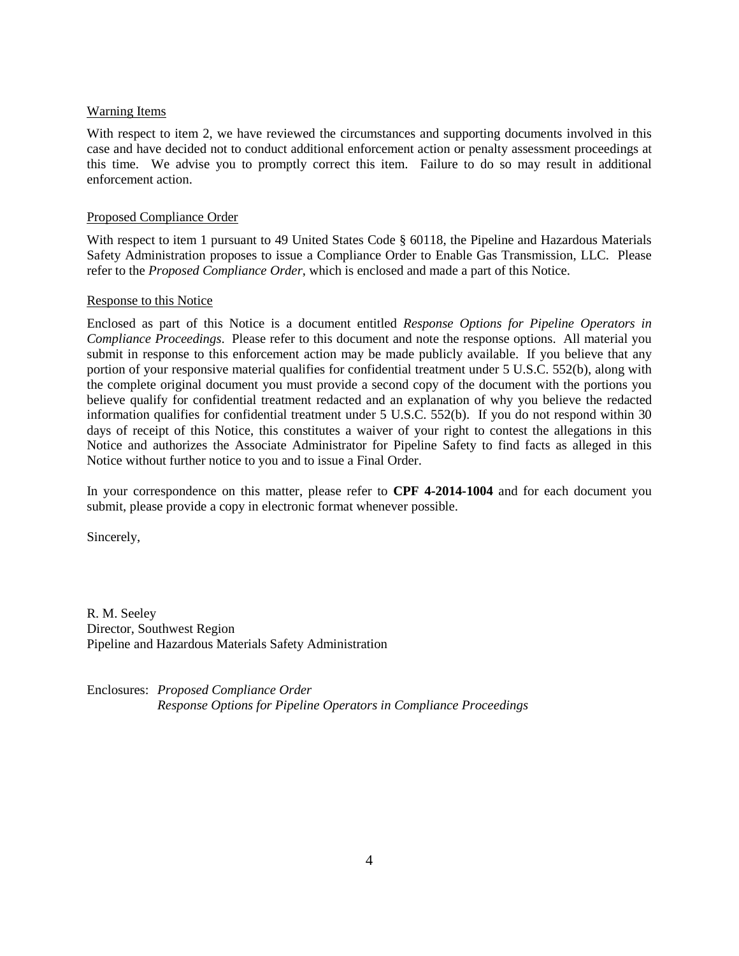## Warning Items

With respect to item 2, we have reviewed the circumstances and supporting documents involved in this case and have decided not to conduct additional enforcement action or penalty assessment proceedings at this time. We advise you to promptly correct this item. Failure to do so may result in additional enforcement action.

## Proposed Compliance Order

With respect to item 1 pursuant to 49 United States Code § 60118, the Pipeline and Hazardous Materials Safety Administration proposes to issue a Compliance Order to Enable Gas Transmission, LLC. Please refer to the *Proposed Compliance Order*, which is enclosed and made a part of this Notice.

## Response to this Notice

Enclosed as part of this Notice is a document entitled *Response Options for Pipeline Operators in Compliance Proceedings*. Please refer to this document and note the response options. All material you submit in response to this enforcement action may be made publicly available. If you believe that any portion of your responsive material qualifies for confidential treatment under 5 U.S.C. 552(b), along with the complete original document you must provide a second copy of the document with the portions you believe qualify for confidential treatment redacted and an explanation of why you believe the redacted information qualifies for confidential treatment under 5 U.S.C. 552(b). If you do not respond within 30 days of receipt of this Notice, this constitutes a waiver of your right to contest the allegations in this Notice and authorizes the Associate Administrator for Pipeline Safety to find facts as alleged in this Notice without further notice to you and to issue a Final Order.

In your correspondence on this matter, please refer to **CPF 4-2014-1004** and for each document you submit, please provide a copy in electronic format whenever possible.

Sincerely,

R. M. Seeley Director, Southwest Region Pipeline and Hazardous Materials Safety Administration

Enclosures: *Proposed Compliance Order Response Options for Pipeline Operators in Compliance Proceedings*